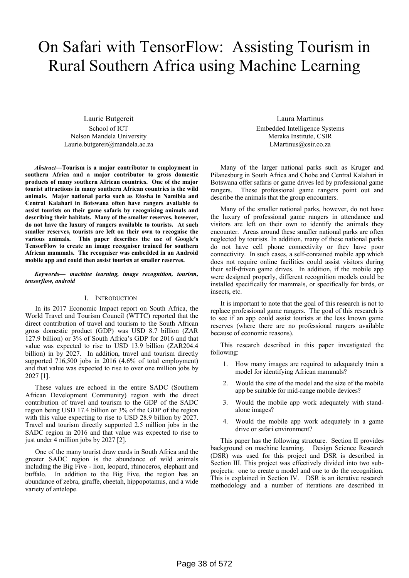# On Safari with TensorFlow: Assisting Tourism in Rural Southern Africa using Machine Learning

Laurie Butgereit School of ICT Nelson Mandela University Laurie.butgereit@mandela.ac.za

*Abstract***—Tourism is a major contributor to employment in southern Africa and a major contributor to gross domestic products of many southern African countries. One of the major tourist attractions in many southern African countries is the wild animals. Major national parks such as Etosha in Namibia and Central Kalahari in Botswana often have rangers available to assist tourists on their game safaris by recognising animals and describing their habitats. Many of the smaller reserves, however, do not have the luxury of rangers available to tourists. At such smaller reserves, tourists are left on their own to recognise the various animals. This paper describes the use of Google's TensorFlow to create an image recogniser trained for southern African mammals. The recogniser was embedded in an Android mobile app and could then assist tourists at smaller reserves.** 

*Keywords— machine learning, image recognition, tourism, tensorflow, android* 

# I. INTRODUCTION

In its 2017 Economic Impact report on South Africa, the World Travel and Tourism Council (WTTC) reported that the direct contribution of travel and tourism to the South African gross domestic product (GDP) was USD 8.7 billion (ZAR 127.9 billion) or 3% of South Africa's GDP for 2016 and that value was expected to rise to USD 13.9 billion (ZAR204.4 billion) in by 2027. In addition, travel and tourism directly supported 716,500 jobs in 2016 (4.6% of total employment) and that value was expected to rise to over one million jobs by 2027 [1].

These values are echoed in the entire SADC (Southern African Development Community) region with the direct contribution of travel and tourism to the GDP of the SADC region being USD 17.4 billion or 3% of the GDP of the region with this value expecting to rise to USD 28.9 billion by 2027. Travel and tourism directly supported 2.5 million jobs in the SADC region in 2016 and that value was expected to rise to just under 4 million jobs by 2027 [2].

One of the many tourist draw cards in South Africa and the greater SADC region is the abundance of wild animals including the Big Five - lion, leopard, rhinoceros, elephant and buffalo. In addition to the Big Five, the region has an abundance of zebra, giraffe, cheetah, hippopotamus, and a wide variety of antelope.

Laura Martinus Embedded Intelligence Systems Meraka Institute, CSIR LMartinus@csir.co.za

Many of the larger national parks such as Kruger and Pilanesburg in South Africa and Chobe and Central Kalahari in Botswana offer safaris or game drives led by professional game rangers. These professional game rangers point out and describe the animals that the group encounters.

Many of the smaller national parks, however, do not have the luxury of professional game rangers in attendance and visitors are left on their own to identify the animals they encounter. Areas around these smaller national parks are often neglected by tourists. In addition, many of these national parks do not have cell phone connectivity or they have poor connectivity. In such cases, a self-contained mobile app which does not require online facilities could assist visitors during their self-driven game drives. In addition, if the mobile app were designed properly, different recognition models could be installed specifically for mammals, or specifically for birds, or insects, etc.

It is important to note that the goal of this research is not to replace professional game rangers. The goal of this research is to see if an app could assist tourists at the less known game reserves (where there are no professional rangers available because of economic reasons).

This research described in this paper investigated the following:

- 1. How many images are required to adequately train a model for identifying African mammals?
- Would the size of the model and the size of the mobile app be suitable for mid-range mobile devices?
- 3. Would the mobile app work adequately with standalone images?
- 4. Would the mobile app work adequately in a game drive or safari environment?

This paper has the following structure. Section II provides background on machine learning. Design Science Research (DSR) was used for this project and DSR is described in Section III. This project was effectively divided into two subprojects: one to create a model and one to do the recognition. This is explained in Section IV. DSR is an iterative research methodology and a number of iterations are described in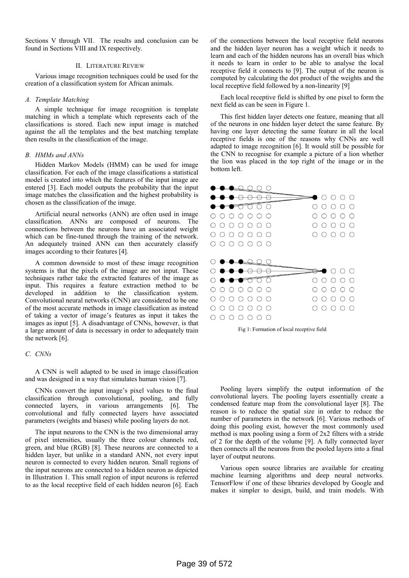Sections V through VII. The results and conclusion can be found in Sections VIII and IX respectively.

## II. LITERATURE REVIEW

Various image recognition techniques could be used for the creation of a classification system for African animals.

# *A. Template Matching*

A simple technique for image recognition is template matching in which a template which represents each of the classifications is stored. Each new input image is matched against the all the templates and the best matching template then results in the classification of the image.

## *B. HMMs and ANNs*

Hidden Markov Models (HMM) can be used for image classification. For each of the image classifications a statistical model is created into which the features of the input image are entered [3]. Each model outputs the probability that the input image matches the classification and the highest probability is chosen as the classification of the image.

Artificial neural networks (ANN) are often used in image classification. ANNs are composed of neurons. The connections between the neurons have an associated weight which can be fine-tuned through the training of the network. An adequately trained ANN can then accurately classify images according to their features [4].

A common downside to most of these image recognition systems is that the pixels of the image are not input. These techniques rather take the extracted features of the image as input. This requires a feature extraction method to be developed in addition to the classification system. Convolutional neural networks (CNN) are considered to be one of the most accurate methods in image classification as instead of taking a vector of image's features as input it takes the images as input [5]. A disadvantage of CNNs, however, is that a large amount of data is necessary in order to adequately train the network [6].

### *C. CNNs*

A CNN is well adapted to be used in image classification and was designed in a way that simulates human vision [7].

CNNs convert the input image's pixel values to the final classification through convolutional, pooling, and fully connected layers, in various arrangements [6]. The convolutional and fully connected layers have associated parameters (weights and biases) while pooling layers do not.

The input neurons to the CNN is the two dimensional array of pixel intensities, usually the three colour channels red, green, and blue (RGB) [8]. These neurons are connected to a hidden layer, but unlike in a standard ANN, not every input neuron is connected to every hidden neuron. Small regions of the input neurons are connected to a hidden neuron as depicted in Illustration 1. This small region of input neurons is referred to as the local receptive field of each hidden neuron [6]. Each

of the connections between the local receptive field neurons and the hidden layer neuron has a weight which it needs to learn and each of the hidden neurons has an overall bias which it needs to learn in order to be able to analyse the local receptive field it connects to [9]. The output of the neuron is computed by calculating the dot product of the weights and the local receptive field followed by a non-linearity [9]

Each local receptive field is shifted by one pixel to form the next field as can be seen in Figure 1.

This first hidden layer detects one feature, meaning that all of the neurons in one hidden layer detect the same feature. By having one layer detecting the same feature in all the local receptive fields is one of the reasons why CNNs are well adapted to image recognition [6]. It would still be possible for the CNN to recognise for example a picture of a lion whether the lion was placed in the top right of the image or in the bottom left.





Pooling layers simplify the output information of the convolutional layers. The pooling layers essentially create a condensed feature map from the convolutional layer [8]. The reason is to reduce the spatial size in order to reduce the number of parameters in the network [6]. Various methods of doing this pooling exist, however the most commonly used method is max pooling using a form of 2x2 filters with a stride of 2 for the depth of the volume [9]. A fully connected layer then connects all the neurons from the pooled layers into a final layer of output neurons.

Various open source libraries are available for creating machine learning algorithms and deep neural networks. TensorFlow if one of these libraries developed by Google and makes it simpler to design, build, and train models. With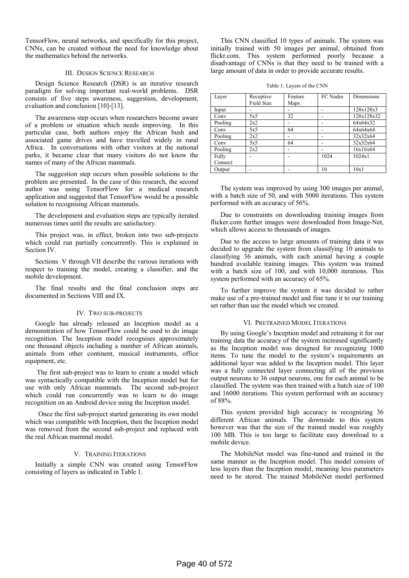TensorFlow, neural networks, and specifically for this project, CNNs, can be created without the need for knowledge about the mathematics behind the networks.

# III. DESIGN SCIENCE RESEARCH

Design Science Research (DSR) is an iterative research paradigm for solving important real-world problems. DSR consists of five steps awareness, suggestion, development, evaluation and conclusion [10]-[13].

The awareness step occurs when researchers become aware of a problem or situation which needs improving. In this particular case, both authors enjoy the African bush and associated game drives and have travelled widely in rural Africa. In conversations with other visitors at the national parks, it became clear that many visitors do not know the names of many of the African mammals.

The suggestion step occurs when possible solutions to the problem are presented. In the case of this research, the second author was using TensorFlow for a medical research application and suggested that TensorFlow would be a possible solution to recognising African mammals.

The development and evaluation steps are typically iterated numerous times until the results are satisfactory.

This project was, in effect, broken into two sub-projects which could run partially concurrently. This is explained in Section IV.

Sections V through VII describe the various iterations with respect to training the model, creating a classifier, and the mobile development.

The final results and the final conclusion steps are documented in Sections VIII and IX.

# IV. TWO SUB-PROJECTS

Google has already released an Inception model as a demonstration of how TensorFlow could be used to do image recognition. The Inception model recognises approximately one thousand objects including a number of African animals, animals from other continent, musical instruments, office equipment, etc.

 The first sub-project was to learn to create a model which was syntactically compatible with the Inception model but for use with only African mammals. The second sub-project which could run concurrently was to learn to do image recognition on an Android device using the Inception model.

 Once the first sub-project started generating its own model which was compatible with Inception, then the Inception model was removed from the second sub-project and replaced with the real African mammal model.

# V. TRAINING ITERATIONS

Initially a simple CNN was created using TensorFlow consisting of layers as indicated in Table 1.

This CNN classified 10 types of animals. The system was initially trained with 50 images per animal, obtained from flickr.com. This system performed poorly because a disadvantage of CNNs is that they need to be trained with a large amount of data in order to provide accurate results.

Table 1: Layers of the CNN

| Layer   | Receptive<br><b>Field Size</b> | Feature<br>Maps | FC Nodes | Dimensions |
|---------|--------------------------------|-----------------|----------|------------|
| Input   |                                |                 |          | 128x128x3  |
| Conv    | 5x5                            | 32              |          | 128x128x32 |
| Pooling | 2x2                            |                 |          | 64x64x32   |
| Conv    | 5x5                            | 64              |          | 64x64x64   |
| Pooling | 2x2                            |                 |          | 32x32x64   |
| Conv    | 5x5                            | 64              |          | 32x32x64   |
| Pooling | 2x2                            |                 |          | 16x16x64   |
| Fully   |                                |                 | 1024     | 1024x1     |
| Connect |                                |                 |          |            |
| Output  |                                |                 | 10       | 10x1       |

The system was improved by using 300 images per animal, with a batch size of 50, and with 5000 iterations. This system performed with an accuracy of 56%.

Due to constraints on downloading training images from flicker.com further images were downloaded from Image-Net, which allows access to thousands of images.

Due to the access to large amounts of training data it was decided to upgrade the system from classifying 10 animals to classifying 36 animals, with each animal having a couple hundred available training images. This system was trained with a batch size of 100, and with 10,000 iterations. This system performed with an accuracy of 65%.

To further improve the system it was decided to rather make use of a pre-trained model and fine tune it to our training set rather than use the model which we created.

# VI. PRETRAINED MODEL ITERATIONS

By using Google's Inception model and retraining it for our training data the accuracy of the system increased significantly as the Inception model was designed for recognizing 1000 items. To tune the model to the system's requirements an additional layer was added to the Inception model. This layer was a fully connected layer connecting all of the previous output neurons to 36 output neurons, one for each animal to be classified. The system was then trained with a batch size of 100 and 16000 iterations. This system performed with an accuracy of 88%.

This system provided high accuracy in recognizing 36 different African animals. The downside to this system however was that the size of the trained model was roughly 100 MB. This is too large to facilitate easy download to a mobile device.

The MobileNet model was fine-tuned and trained in the same manner as the Inception model. This model consists of less layers than the Inception model, meaning less parameters need to be stored. The trained MobileNet model performed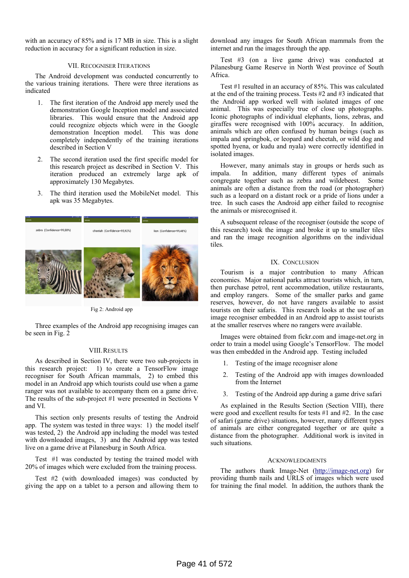with an accuracy of 85% and is 17 MB in size. This is a slight reduction in accuracy for a significant reduction in size.

# VII. RECOGNISER ITERATIONS

The Android development was conducted concurrently to the various training iterations. There were three iterations as indicated

- 1. The first iteration of the Android app merely used the demonstration Google Inception model and associated libraries. This would ensure that the Android app could recognize objects which were in the Google demonstration Inception model. This was done completely independently of the training iterations described in Section V
- The second iteration used the first specific model for this research project as described in Section V. This iteration produced an extremely large apk of approximately 130 Megabytes.
- 3. The third iteration used the MobileNet model. This apk was 35 Megabytes.



Fig 2: Android app

Three examples of the Android app recognising images can be seen in Fig. 2

### VIII.RESULTS

As described in Section IV, there were two sub-projects in this research project: 1) to create a TensorFlow image recogniser for South African mammals, 2) to embed this model in an Android app which tourists could use when a game ranger was not available to accompany them on a game drive. The results of the sub-project #1 were presented in Sections V and VI.

This section only presents results of testing the Android app. The system was tested in three ways: 1) the model itself was tested, 2) the Android app including the model was tested with downloaded images, 3) and the Android app was tested live on a game drive at Pilanesburg in South Africa.

Test #1 was conducted by testing the trained model with 20% of images which were excluded from the training process.

Test #2 (with downloaded images) was conducted by giving the app on a tablet to a person and allowing them to download any images for South African mammals from the internet and run the images through the app.

Test #3 (on a live game drive) was conducted at Pilanesburg Game Reserve in North West province of South Africa.

Test #1 resulted in an accuracy of 85%. This was calculated at the end of the training process. Tests #2 and #3 indicated that the Android app worked well with isolated images of one animal. This was especially true of close up photographs. Iconic photographs of individual elephants, lions, zebras, and giraffes were recognised with 100% accuracy. In addition, animals which are often confused by human beings (such as impala and springbok, or leopard and cheetah, or wild dog and spotted hyena, or kudu and nyala) were correctly identified in isolated images.

However, many animals stay in groups or herds such as impala. In addition, many different types of animals congregate together such as zebra and wildebeest. Some animals are often a distance from the road (or photographer) such as a leopard on a distant rock or a pride of lions under a tree. In such cases the Android app either failed to recognise the animals or misrecognised it.

A subsequent release of the recogniser (outside the scope of this research) took the image and broke it up to smaller tiles and ran the image recognition algorithms on the individual tiles.

# IX. CONCLUSION

Tourism is a major contribution to many African economies. Major national parks attract tourists which, in turn, then purchase petrol, rent accommodation, utilize restaurants, and employ rangers. Some of the smaller parks and game reserves, however, do not have rangers available to assist tourists on their safaris. This research looks at the use of an image recogniser embedded in an Android app to assist tourists at the smaller reserves where no rangers were available.

Images were obtained from fickr.com and image-net.org in order to train a model using Google's TensorFlow. The model was then embedded in the Android app. Testing included

- 1. Testing of the image recogniser alone
- 2. Testing of the Android app with images downloaded from the Internet
- 3. Testing of the Android app during a game drive safari

As explained in the Results Section (Section VIII), there were good and excellent results for tests #1 and #2. In the case of safari (game drive) situations, however, many different types of animals are either congregated together or are quite a distance from the photographer. Additional work is invited in such situations.

## ACKNOWLEDGMENTS

The authors thank Image-Net (http://image-net.org) for providing thumb nails and URLS of images which were used for training the final model. In addition, the authors thank the